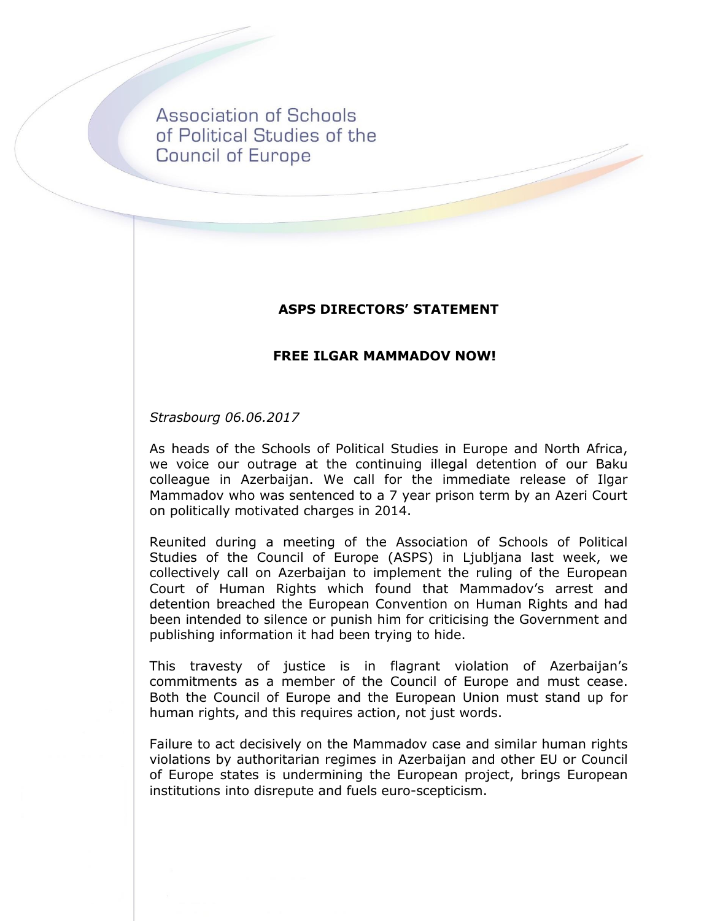**Association of Schools** of Political Studies of the **Council of Europe** 

## **ASPS DIRECTORS' STATEMENT**

## **FREE ILGAR MAMMADOV NOW!**

*Strasbourg 06.06.2017*

As heads of the Schools of Political Studies in Europe and North Africa, we voice our outrage at the continuing illegal detention of our Baku colleague in Azerbaijan. We call for the immediate release of Ilgar Mammadov who was sentenced to a 7 year prison term by an Azeri Court on politically motivated charges in 2014.

Reunited during a meeting of the Association of Schools of Political Studies of the Council of Europe (ASPS) in Ljubljana last week, we collectively call on Azerbaijan to implement the ruling of the European Court of Human Rights which found that Mammadov's arrest and detention breached the European Convention on Human Rights and had been intended to silence or punish him for criticising the Government and publishing information it had been trying to hide.

This travesty of justice is in flagrant violation of Azerbaiian's commitments as a member of the Council of Europe and must cease. Both the Council of Europe and the European Union must stand up for human rights, and this requires action, not just words.

Failure to act decisively on the Mammadov case and similar human rights violations by authoritarian regimes in Azerbaijan and other EU or Council of Europe states is undermining the European project, brings European institutions into disrepute and fuels euro-scepticism.